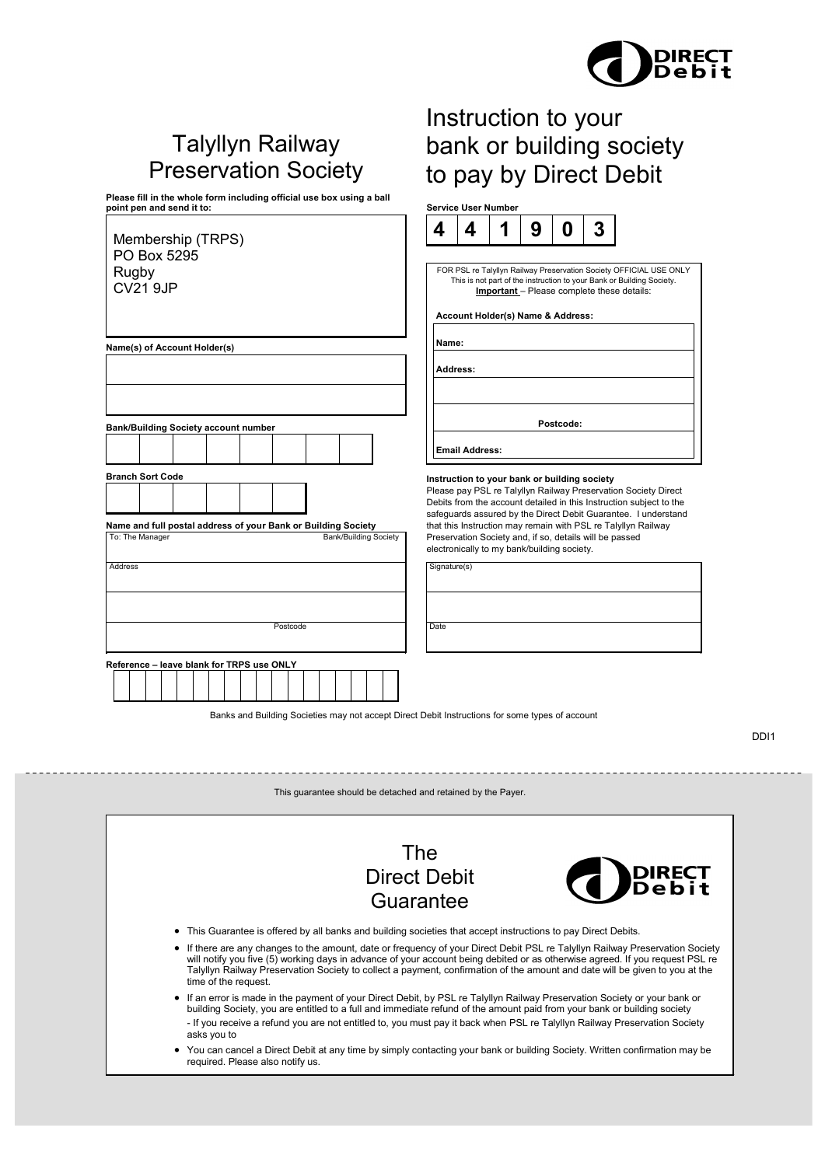

# Talyllyn Railway Preservation Society

**Please fill in the whole form including official use box using a ball point pen and send it to: Service User Number**

| Membership (TRPS)                                                                                                                           | 4            | 4                                                                                                                                                                                                                                                                                                                                              |                                | 9 |           |  |
|---------------------------------------------------------------------------------------------------------------------------------------------|--------------|------------------------------------------------------------------------------------------------------------------------------------------------------------------------------------------------------------------------------------------------------------------------------------------------------------------------------------------------|--------------------------------|---|-----------|--|
| PO Box 5295<br>Rugby<br><b>CV21 9JP</b>                                                                                                     |              | FOR PSL re Talyllyn Railway Preservation Socie<br>This is not part of the instruction to your Banl<br>Account Holder(s) Name & Address:                                                                                                                                                                                                        | Important - Please complete th |   |           |  |
| Name(s) of Account Holder(s)                                                                                                                | Name:        |                                                                                                                                                                                                                                                                                                                                                |                                |   |           |  |
|                                                                                                                                             |              | Address:                                                                                                                                                                                                                                                                                                                                       |                                |   |           |  |
| <b>Bank/Building Society account number</b>                                                                                                 |              |                                                                                                                                                                                                                                                                                                                                                |                                |   | Postcode: |  |
|                                                                                                                                             |              | <b>Email Address:</b>                                                                                                                                                                                                                                                                                                                          |                                |   |           |  |
| <b>Branch Sort Code</b><br>Name and full postal address of your Bank or Building Society<br>To: The Manager<br><b>Bank/Building Society</b> |              | Instruction to your bank or building socie<br>Please pay PSL re Talyllyn Railway Preserva<br>Debits from the account detailed in this Instri<br>safeguards assured by the Direct Debit Guar<br>that this Instruction may remain with PSL re<br>Preservation Society and, if so, details will be<br>electronically to my bank/building society. |                                |   |           |  |
| <b>Address</b>                                                                                                                              | Signature(s) |                                                                                                                                                                                                                                                                                                                                                |                                |   |           |  |
|                                                                                                                                             |              |                                                                                                                                                                                                                                                                                                                                                |                                |   |           |  |
| Postcode                                                                                                                                    | Date         |                                                                                                                                                                                                                                                                                                                                                |                                |   |           |  |
| Reference - leave blank for TRPS use ONLY                                                                                                   |              |                                                                                                                                                                                                                                                                                                                                                |                                |   |           |  |
|                                                                                                                                             |              |                                                                                                                                                                                                                                                                                                                                                |                                |   |           |  |

# Instruction to your bank or building society to pay by Direct Debit



SL re Talyllyn Railway Preservation Society OFFICIAL USE ONLY s is not part of the instruction to your Bank or Building Society. **Important** – Please complete these details:

### **Account Holder(s) Name & Address:**

### **Instruction to your bank or building society**

ay PSL re Talyllyn Railway Preservation Society Direct om the account detailed in this Instruction subject to the ds assured by the Direct Debit Guarantee. I understand Instruction may remain with PSL re Talyllyn Railway tion Society and, if so, details will be passed cally to my bank/building society.

Banks and Building Societies may not accept Direct Debit Instructions for some types of account

DDI1

This guarantee should be detached and retained by the Payer.